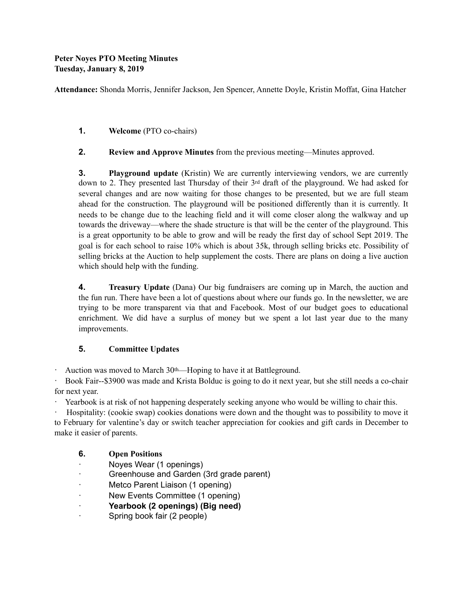## **Peter Noyes PTO Meeting Minutes Tuesday, January 8, 2019**

**Attendance:** Shonda Morris, Jennifer Jackson, Jen Spencer, Annette Doyle, Kristin Moffat, Gina Hatcher

- **1. Welcome** (PTO co-chairs)
- **2. Review and Approve Minutes** from the previous meeting—Minutes approved.

**3. Playground update** (Kristin) We are currently interviewing vendors, we are currently down to 2. They presented last Thursday of their 3rd draft of the playground. We had asked for several changes and are now waiting for those changes to be presented, but we are full steam ahead for the construction. The playground will be positioned differently than it is currently. It needs to be change due to the leaching field and it will come closer along the walkway and up towards the driveway—where the shade structure is that will be the center of the playground. This is a great opportunity to be able to grow and will be ready the first day of school Sept 2019. The goal is for each school to raise 10% which is about 35k, through selling bricks etc. Possibility of selling bricks at the Auction to help supplement the costs. There are plans on doing a live auction which should help with the funding.

**4. Treasury Update** (Dana) Our big fundraisers are coming up in March, the auction and the fun run. There have been a lot of questions about where our funds go. In the newsletter, we are trying to be more transparent via that and Facebook. Most of our budget goes to educational enrichment. We did have a surplus of money but we spent a lot last year due to the many improvements.

## **5. Committee Updates**

· Auction was moved to March 30th—Hoping to have it at Battleground.

· Book Fair--\$3900 was made and Krista Bolduc is going to do it next year, but she still needs a co-chair for next year.

Yearbook is at risk of not happening desperately seeking anyone who would be willing to chair this.

· Hospitality: (cookie swap) cookies donations were down and the thought was to possibility to move it to February for valentine's day or switch teacher appreciation for cookies and gift cards in December to make it easier of parents.

- **6. Open Positions**
- · Noyes Wear (1 openings)
- Greenhouse and Garden (3rd grade parent)
- Metco Parent Liaison (1 opening)
- New Events Committee (1 opening)
- · **Yearbook (2 openings) (Big need)**
- · Spring book fair (2 people)